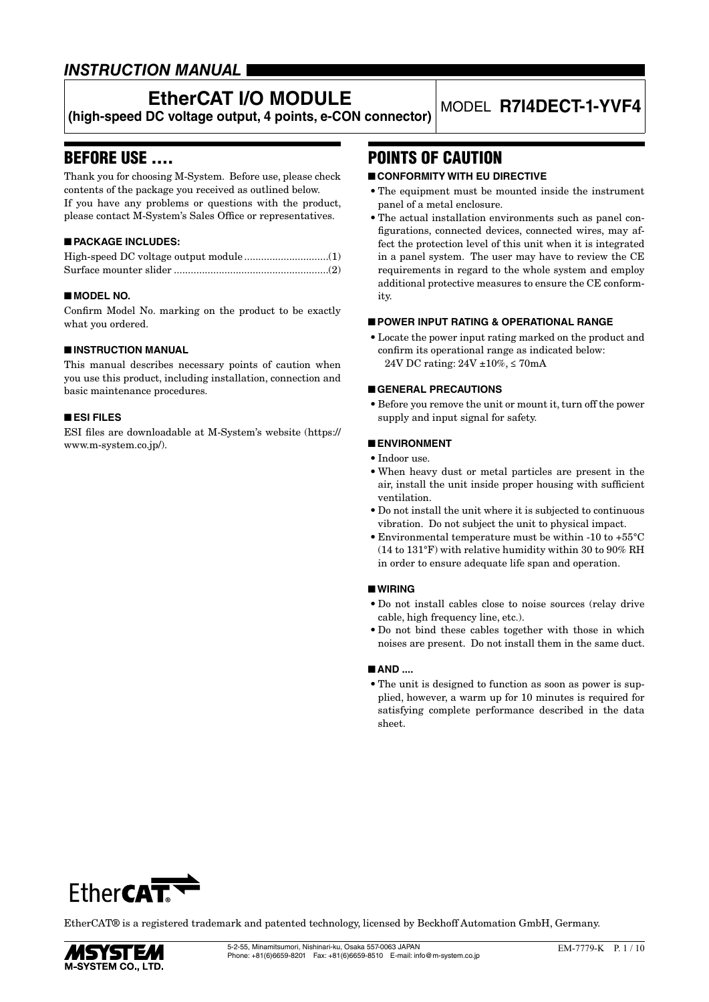# *INSTRUCTION MANUAL*

# **EtherCAT I/O MODULE**

**(high-speed DC voltage output, 4 points, e-CON connector)** MODEL **R7I4DECT-1-YVF4**

# BEFORE USE ....

Thank you for choosing M-System. Before use, please check contents of the package you received as outlined below. If you have any problems or questions with the product, please contact M-System's Sales Office or representatives.

# ■ **PACKAGE INCLUDES:**

# ■ **MODEL NO.**

Confirm Model No. marking on the product to be exactly what you ordered.

### ■ **INSTRUCTION MANUAL**

This manual describes necessary points of caution when you use this product, including installation, connection and basic maintenance procedures.

# ■ **ESI FILES**

ESI files are downloadable at M-System's website (https:// www.m-system.co.jp/).

# POINTS OF CAUTION

## ■ **CONFORMITY WITH EU DIRECTIVE**

- The equipment must be mounted inside the instrument panel of a metal enclosure.
- The actual installation environments such as panel configurations, connected devices, connected wires, may affect the protection level of this unit when it is integrated in a panel system. The user may have to review the CE requirements in regard to the whole system and employ additional protective measures to ensure the CE conformity.

### ■ **POWER INPUT RATING & OPERATIONAL RANGE**

• Locate the power input rating marked on the product and confirm its operational range as indicated below: 24V DC rating: 24V ±10%, ≤ 70mA

### ■ **GENERAL PRECAUTIONS**

• Before you remove the unit or mount it, turn off the power supply and input signal for safety.

### ■ **ENVIRONMENT**

- Indoor use.
- When heavy dust or metal particles are present in the air, install the unit inside proper housing with sufficient ventilation.
- Do not install the unit where it is subjected to continuous vibration. Do not subject the unit to physical impact.
- Environmental temperature must be within -10 to +55°C (14 to 131°F) with relative humidity within 30 to 90% RH in order to ensure adequate life span and operation.

#### ■ **WIRING**

- Do not install cables close to noise sources (relay drive cable, high frequency line, etc.).
- Do not bind these cables together with those in which noises are present. Do not install them in the same duct.

### ■ **AND ....**

• The unit is designed to function as soon as power is supplied, however, a warm up for 10 minutes is required for satisfying complete performance described in the data sheet.



EtherCAT® is a registered trademark and patented technology, licensed by Beckhoff Automation GmbH, Germany.

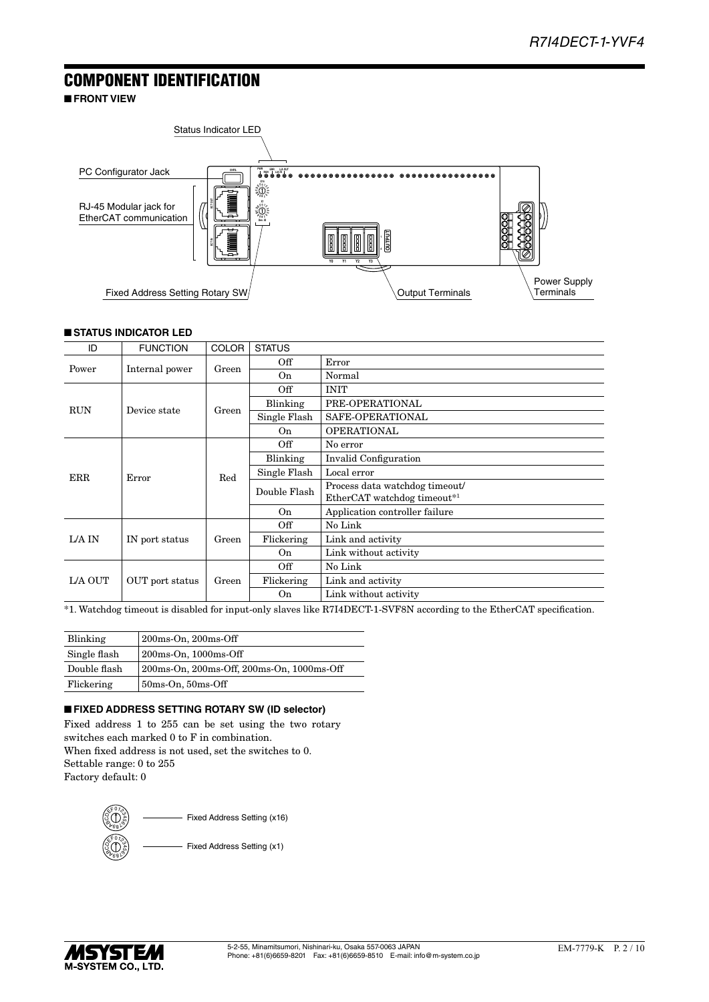# COMPONENT IDENTIFICATION

■ **FRONT VIEW**



# ■ **STATUS INDICATOR LED**

| ID         | <b>FUNCTION</b> | <b>COLOR</b> | <b>STATUS</b>  |                                |
|------------|-----------------|--------------|----------------|--------------------------------|
|            |                 |              | Off            | Error                          |
| Power      | Internal power  | Green        | On             | Normal                         |
|            |                 |              | Off            | <b>INIT</b>                    |
| <b>RUN</b> | Device state    | Green        | Blinking       | PRE-OPERATIONAL                |
|            |                 |              | Single Flash   | SAFE-OPERATIONAL               |
|            |                 |              | On             | <b>OPERATIONAL</b>             |
|            |                 |              | Off            | No error                       |
|            |                 | Red          | Blinking       | Invalid Configuration          |
| <b>ERR</b> | Error           |              | Single Flash   | Local error                    |
|            |                 |              | Double Flash   | Process data watchdog timeout/ |
|            |                 |              |                | EtherCAT watchdog timeout*1    |
|            |                 |              | O <sub>n</sub> | Application controller failure |
|            |                 |              | Off            | No Link                        |
| L/A IN     | IN port status  | Green        | Flickering     | Link and activity              |
|            |                 |              | On             | Link without activity          |
| L/A OUT    |                 | Green        | Off            | No Link                        |
|            | OUT port status |              | Flickering     | Link and activity              |
|            |                 |              | On             | Link without activity          |

\*1. Watchdog timeout is disabled for input-only slaves like R7I4DECT-1-SVF8N according to the EtherCAT specification.

| Blinking     | $200ms$ -On, $200ms$ -Off                 |
|--------------|-------------------------------------------|
| Single flash | $200ms$ -On, $1000ms$ -Off                |
| Double flash | 200ms-On, 200ms-Off, 200ms-On, 1000ms-Off |
| Flickering   | $50ms$ -On, $50ms$ -Off                   |

# ■ **FIXED ADDRESS SETTING ROTARY SW (ID selector)**

Fixed address 1 to 255 can be set using the two rotary switches each marked 0 to F in combination. When fixed address is not used, set the switches to 0. Settable range: 0 to 255 Factory default: 0



Fixed Address Setting (x16)

Fixed Address Setting (x1)

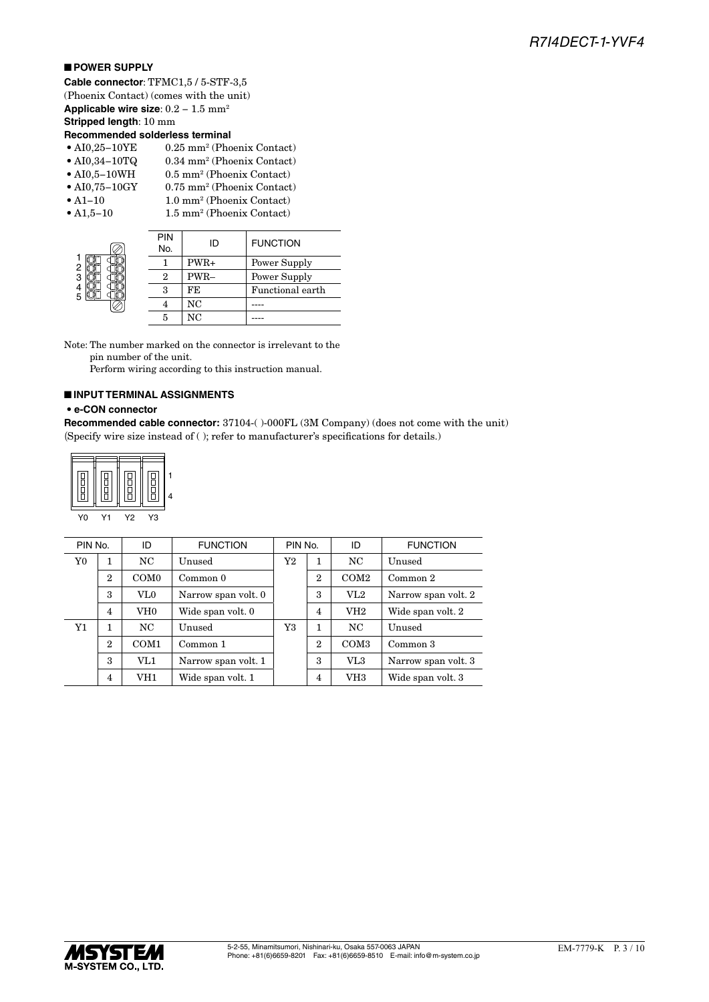# ■ **POWER SUPPLY**

**Cable connector**: TFMC1,5 / 5-STF-3,5 (Phoenix Contact) (comes with the unit) **Applicable wire size**: 0.2 − 1.5 mm2 **Stripped length**: 10 mm

# **Recommended solderless terminal**

- AI0,34 $-10$ TQ 0.34 mm<sup>2</sup> (Phoenix Contact)
- AI0,5 $-10$ WH  $(0.5)$  mm<sup>2</sup> (Phoenix Contact)
- $\bullet$  AI0,75-10GY 0.75 mm<sup>2</sup> (Phoenix Contact)
- $A1-10$ •  $A1,5-10$
- 1.0 mm<sup>2</sup> (Phoenix Contact) (Phoenix Contact)

|        | <b>PIN</b><br>No. | ID     | <b>FUNCTION</b>  |
|--------|-------------------|--------|------------------|
| 2      |                   | $PWR+$ | Power Supply     |
| 3      | 9                 | PWR-   | Power Supply     |
| 4<br>5 | з                 | FE     | Functional earth |
|        |                   | NC     |                  |
|        | 5                 | NC     |                  |

Note: The number marked on the connector is irrelevant to the pin number of the unit.

Perform wiring according to this instruction manual.

### ■ **INPUT TERMINAL ASSIGNMENTS · e-CON connector**

#### **• e-CON connector**

Recommended cable connector: 37104-()-000FL (3M Company) (does not come with the unit) (Specify wire size instead of ( ); refer to manufacturer's specifications for details.)

| ∟<br>◻ |    |    |  |
|--------|----|----|--|
| Y0     | Υ2 | ٢З |  |

|                | PIN No.<br><b>FUNCTION</b><br>PIN No.<br>ID |                  |                     | ID           | <b>FUNCTION</b> |                  |                     |
|----------------|---------------------------------------------|------------------|---------------------|--------------|-----------------|------------------|---------------------|
| Y <sub>0</sub> | 1                                           | NC.              | Unused              | Y2<br>1      |                 | NC.              | Unused              |
|                | $\overline{2}$                              | COM <sub>0</sub> | Common 0            | $\mathbf{2}$ |                 | COM2             | Common 2            |
|                | 3                                           | VL0              | Narrow span volt. 0 |              | 3               | VL2              | Narrow span volt. 2 |
|                | $\overline{4}$                              | VH <sub>0</sub>  | Wide span volt. 0   |              | $\overline{4}$  | VH <sub>2</sub>  | Wide span volt. 2   |
| Y1             | 1                                           | NC.              | Unused              | Y3           | 1               | NC.              | Unused              |
|                | $\overline{2}$                              | COM <sub>1</sub> | Common 1            |              | $\overline{2}$  | COM <sub>3</sub> | Common 3            |
|                | 3                                           | VL1              | Narrow span volt. 1 |              | 3               | VL3              | Narrow span volt. 3 |
|                | 4                                           | VH1              | Wide span volt. 1   |              | 4               | VH3              | Wide span volt. 3   |

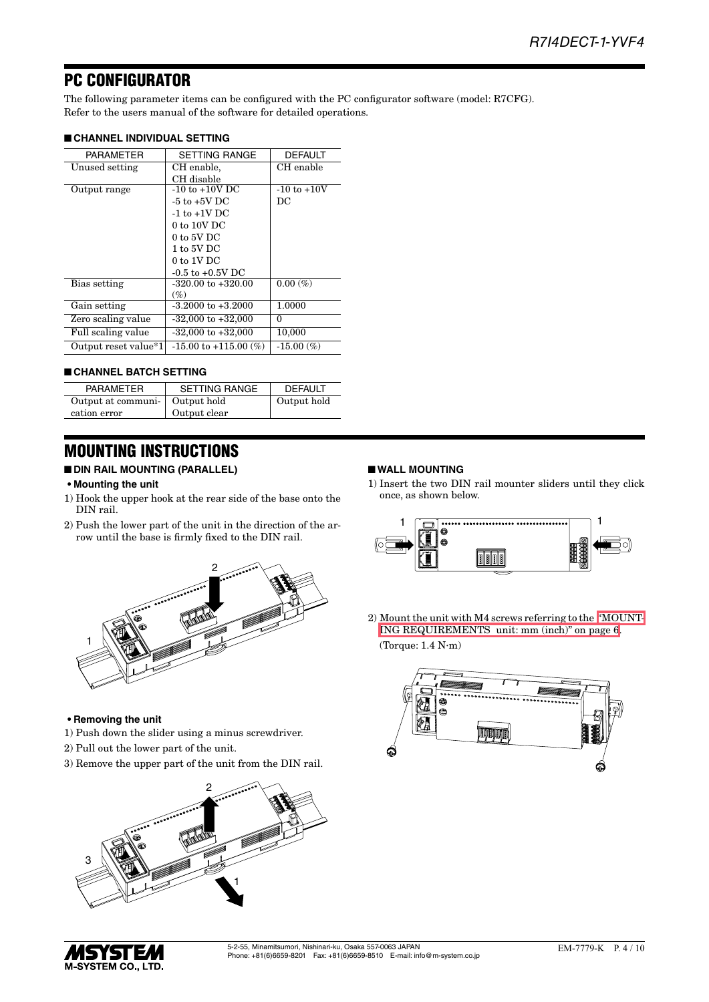# PC CONFIGURATOR

The following parameter items can be configured with the PC configurator software (model: R7CFG). Refer to the users manual of the software for detailed operations.

### ■ **CHANNEL INDIVIDUAL SETTING**

| <b>PARAMETER</b>     | <b>SETTING RANGE</b>      | <b>DEFAULT</b>  |
|----------------------|---------------------------|-----------------|
| Unused setting       | CH enable,                | CH enable       |
|                      | CH disable                |                 |
| Output range         | $-10$ to $+10V$ DC        | $-10$ to $+10V$ |
|                      | $-5$ to $+5V$ DC          | DC              |
|                      | $-1$ to $+1V$ DC          |                 |
|                      | $0$ to $10V$ DC           |                 |
|                      | $0$ to 5V DC              |                 |
|                      | $1$ to 5V DC              |                 |
|                      | $0$ to $1V$ DC            |                 |
|                      | $-0.5$ to $+0.5V$ DC      |                 |
| Bias setting         | $-320.00$ to $+320.00$    | $0.00\ (\%)$    |
|                      | $(\%)$                    |                 |
| Gain setting         | $-3.2000$ to $+3.2000$    | 1.0000          |
| Zero scaling value   | $-32,000$ to $+32,000$    | $\Omega$        |
| Full scaling value   | $-32,000$ to $+32,000$    | 10,000          |
| Output reset value*1 | $-15.00$ to $+115.00$ (%) | $-15.00\ (\%)$  |

### ■ **CHANNEL BATCH SETTING**

| <b>PARAMETER</b>                 | <b>SETTING RANGE</b> | <b>DEFAULT</b> |
|----------------------------------|----------------------|----------------|
| Output at communi-   Output hold |                      | Output hold    |
| cation error                     | Output clear         |                |

# MOUNTING INSTRUCTIONS

# ■ **DIN RAIL MOUNTING (PARALLEL)**

#### **• Mounting the unit**

- 1) Hook the upper hook at the rear side of the base onto the DIN rail.
- 2) Push the lower part of the unit in the direction of the arrow until the base is firmly fixed to the DIN rail.



#### **• Removing the unit**

- 1) Push down the slider using a minus screwdriver.
- 2) Pull out the lower part of the unit.
- 3) Remove the upper part of the unit from the DIN rail.



*MSYSTEM* **M-SYSTEM CO., LTD.** 

# 5-2-55, Minamitsumori, Nishinari-ku, Osaka 557-0063 JAPAN

# ■ **WALL MOUNTING**

1) Insert the two DIN rail mounter sliders until they click once, as shown below.



2) Mount the unit with M4 screws referring to the ["MOUNT-](#page-5-0)[ING REQUIREMENTS unit: mm \(inch\)" on page 6](#page-5-0). (Torque: 1.4 N∙m)

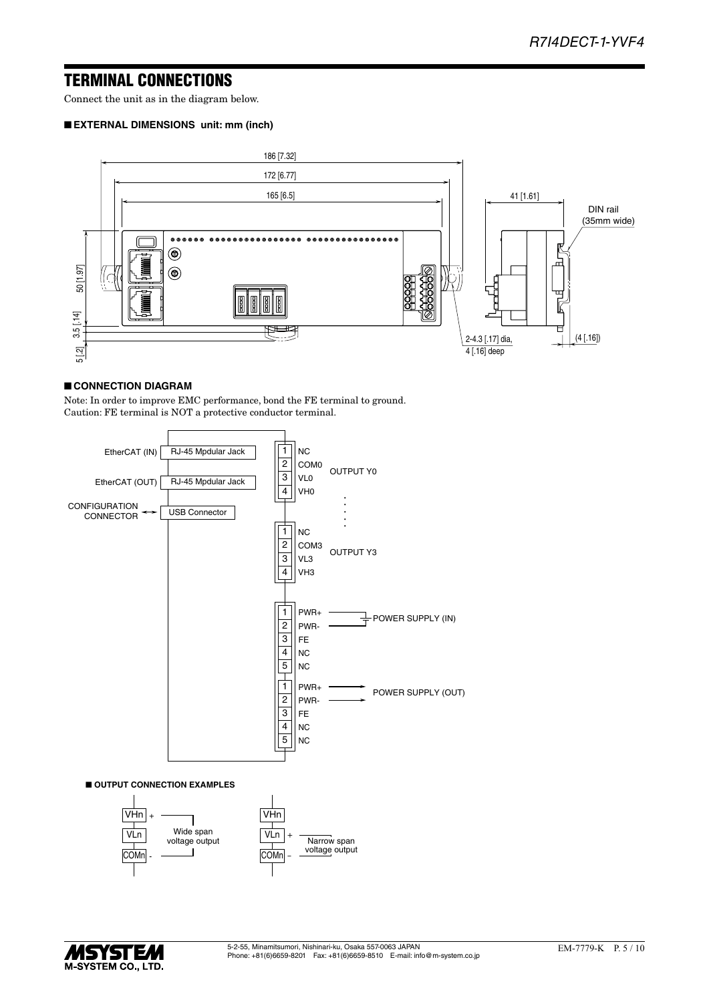# TERMINAL CONNECTIONS

Connect the unit as in the diagram below.

### ■ **EXTERNAL DIMENSIONS unit: mm (inch)**



# ■ **CONNECTION DIAGRAM**

Note: In order to improve EMC performance, bond the FE terminal to ground. Caution: FE terminal is NOT a protective conductor terminal.





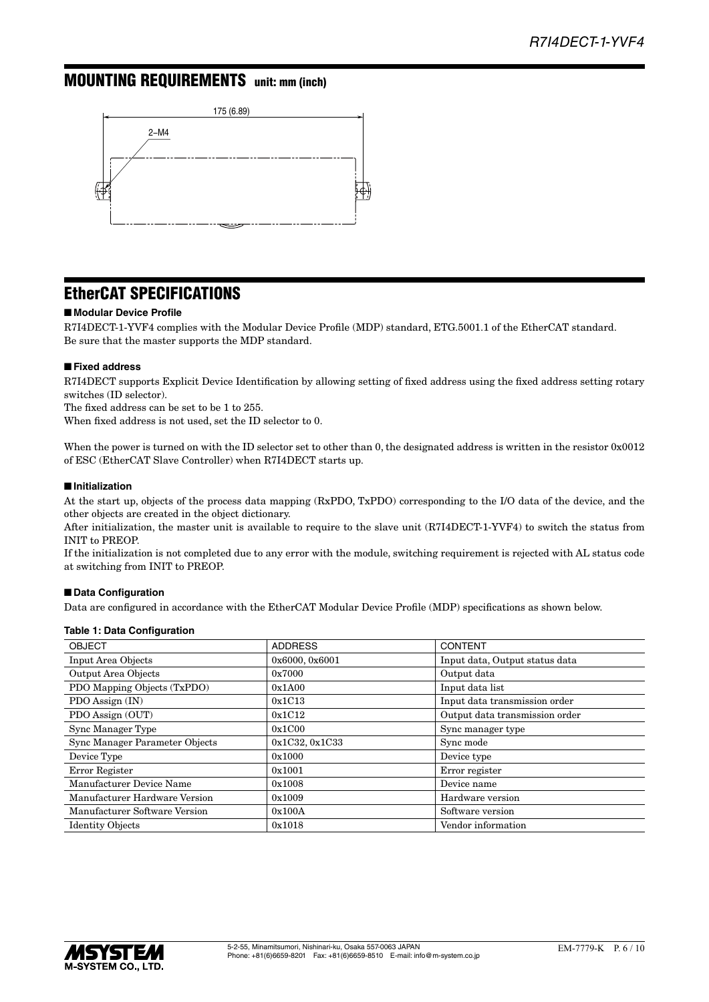# <span id="page-5-0"></span>MOUNTING REQUIREMENTS unit: mm (inch)



# EtherCAT SPECIFICATIONS

### ■ **Modular Device Profile**

R7I4DECT-1-YVF4 complies with the Modular Device Profile (MDP) standard, ETG.5001.1 of the EtherCAT standard. Be sure that the master supports the MDP standard.

#### ■ **Fixed address**

R7I4DECT supports Explicit Device Identification by allowing setting of fixed address using the fixed address setting rotary switches (ID selector).

The fixed address can be set to be 1 to 255.

When fixed address is not used, set the ID selector to 0.

When the power is turned on with the ID selector set to other than 0, the designated address is written in the resistor 0x0012 of ESC (EtherCAT Slave Controller) when R7I4DECT starts up.

#### ■ **Initialization**

At the start up, objects of the process data mapping (RxPDO, TxPDO) corresponding to the I/O data of the device, and the other objects are created in the object dictionary.

After initialization, the master unit is available to require to the slave unit (R7I4DECT-1-YVF4) to switch the status from INIT to PREOP.

If the initialization is not completed due to any error with the module, switching requirement is rejected with AL status code at switching from INIT to PREOP.

### ■ **Data Configuration**

Data are configured in accordance with the EtherCAT Modular Device Profile (MDP) specifications as shown below.

#### **Table 1: Data Configuration**

| <b>OBJECT</b>                  | <b>ADDRESS</b> | <b>CONTENT</b>                 |
|--------------------------------|----------------|--------------------------------|
| <b>Input Area Objects</b>      | 0x6000, 0x6001 | Input data, Output status data |
| Output Area Objects            | 0x7000         | Output data                    |
| PDO Mapping Objects (TxPDO)    | 0x1A00         | Input data list                |
| PDO Assign (IN)                | 0x1C13         | Input data transmission order  |
| PDO Assign (OUT)               | 0x1C12         | Output data transmission order |
| Sync Manager Type              | 0x1C00         | Sync manager type              |
| Sync Manager Parameter Objects | 0x1C32, 0x1C33 | Sync mode                      |
| Device Type                    | 0x1000         | Device type                    |
| Error Register                 | 0x1001         | Error register                 |
| Manufacturer Device Name       | 0x1008         | Device name                    |
| Manufacturer Hardware Version  | 0x1009         | Hardware version               |
| Manufacturer Software Version  | 0x100A         | Software version               |
| <b>Identity Objects</b>        | 0x1018         | Vendor information             |

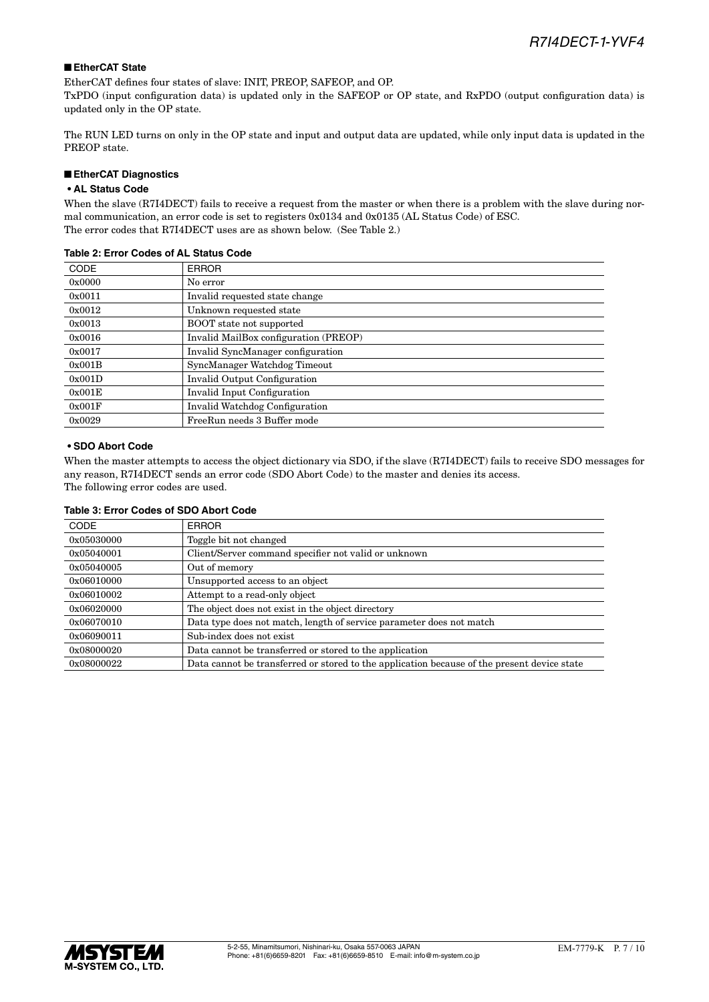# ■ **EtherCAT State**

EtherCAT defines four states of slave: INIT, PREOP, SAFEOP, and OP.

TxPDO (input configuration data) is updated only in the SAFEOP or OP state, and RxPDO (output configuration data) is updated only in the OP state.

The RUN LED turns on only in the OP state and input and output data are updated, while only input data is updated in the PREOP state.

### ■ **EtherCAT Diagnostics**

# **• AL Status Code**

When the slave (R7I4DECT) fails to receive a request from the master or when there is a problem with the slave during normal communication, an error code is set to registers 0x0134 and 0x0135 (AL Status Code) of ESC. The error codes that R7I4DECT uses are as shown below. (See Table 2.)

| <b>CODE</b> | <b>ERROR</b>                          |
|-------------|---------------------------------------|
| 0x0000      | No error                              |
| 0x0011      | Invalid requested state change        |
| 0x0012      | Unknown requested state               |
| 0x0013      | <b>BOOT</b> state not supported       |
| 0x0016      | Invalid MailBox configuration (PREOP) |
| 0x0017      | Invalid SyncManager configuration     |
| 0x001B      | SyncManager Watchdog Timeout          |
| 0x001D      | Invalid Output Configuration          |
| 0x001E      | Invalid Input Configuration           |
| 0x001F      | <b>Invalid Watchdog Configuration</b> |
| 0x0029      | FreeRun needs 3 Buffer mode           |

### **Table 2: Error Codes of AL Status Code**

### **• SDO Abort Code**

When the master attempts to access the object dictionary via SDO, if the slave (R7I4DECT) fails to receive SDO messages for any reason, R7I4DECT sends an error code (SDO Abort Code) to the master and denies its access. The following error codes are used.

|  | Table 3: Error Codes of SDO Abort Code |  |  |
|--|----------------------------------------|--|--|
|  |                                        |  |  |

| <b>CODE</b> | <b>ERROR</b>                                                                                |
|-------------|---------------------------------------------------------------------------------------------|
| 0x05030000  | Toggle bit not changed                                                                      |
| 0x05040001  | Client/Server command specifier not valid or unknown                                        |
| 0x05040005  | Out of memory                                                                               |
| 0x06010000  | Unsupported access to an object                                                             |
| 0x06010002  | Attempt to a read-only object                                                               |
| 0x06020000  | The object does not exist in the object directory                                           |
| 0x06070010  | Data type does not match, length of service parameter does not match                        |
| 0x06090011  | Sub-index does not exist                                                                    |
| 0x08000020  | Data cannot be transferred or stored to the application                                     |
| 0x08000022  | Data cannot be transferred or stored to the application because of the present device state |

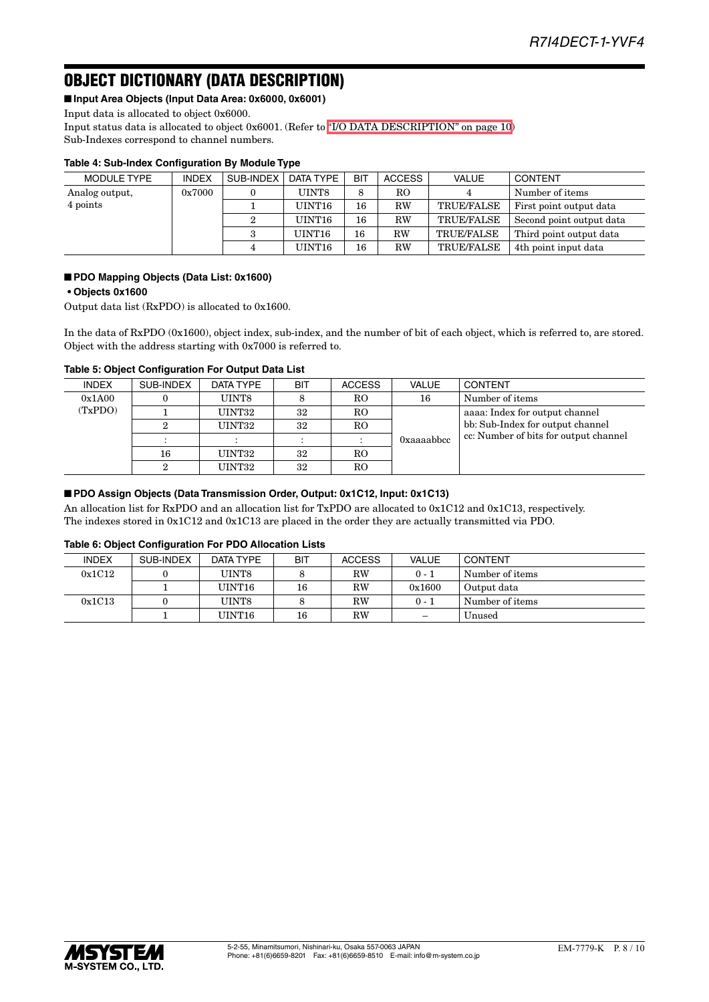# OBJECT DICTIONARY (DATA DESCRIPTION)

■ **Input Area Objects (Input Data Area: 0x6000, 0x6001)**

Input data is allocated to object 0x6000.

Input status data is allocated to object 0x6001. (Refer to ["I/O DATA DESCRIPTION" on page 10\)](#page-9-0) Sub-Indexes correspond to channel numbers.

# **Table 4: Sub-Index Configuration By Module Type**

| MODULE TYPE    | <b>INDEX</b> | SUB-INDEX | DATA TYPE | BIT | <b>ACCESS</b> | VALUE             | <b>CONTENT</b>           |
|----------------|--------------|-----------|-----------|-----|---------------|-------------------|--------------------------|
| Analog output, | 0x7000       |           | UINT8     | 8   | RO            |                   | Number of items          |
| 4 points       |              |           | UINT16    | 16  | RW            | <b>TRUE/FALSE</b> | First point output data  |
|                |              |           | UINT16    | 16  | RW            | <b>TRUE/FALSE</b> | Second point output data |
|                |              | 3         | UINT16    | 16  | RW            | <b>TRUE/FALSE</b> | Third point output data  |
|                |              | 4         | UINT16    | 16  | RW            | <b>TRUE/FALSE</b> | 4th point input data     |

### ■ **PDO Mapping Objects (Data List: 0x1600)**

# **• Objects 0x1600**

Output data list (RxPDO) is allocated to 0x1600.

In the data of RxPDO (0x1600), object index, sub-index, and the number of bit of each object, which is referred to, are stored. Object with the address starting with 0x7000 is referred to.

### **Table 5: Object Configuration For Output Data List**

| <b>INDEX</b> | SUB-INDEX | DATA TYPE | <b>BIT</b> | <b>ACCESS</b>        | <b>VALUE</b> | <b>CONTENT</b>                        |
|--------------|-----------|-----------|------------|----------------------|--------------|---------------------------------------|
| 0x1A00       |           | UINT8     |            | RO                   | 16           | Number of items                       |
| (TxPDO)      |           | UINT32    | 32         | R <sub>O</sub>       |              | aaaa: Index for output channel        |
|              |           | UINT32    | 32         | RO                   |              | bb: Sub-Index for output channel      |
|              |           |           |            | $\ddot{\phantom{a}}$ | 0xaaaabbcc   | cc: Number of bits for output channel |
|              | 16        | UINT32    | 32         | R <sub>O</sub>       |              |                                       |
|              | ົ         | UINT32    | 32         | R <sub>O</sub>       |              |                                       |

### ■ **PDO Assign Objects (Data Transmission Order, Output: 0x1C12, Input: 0x1C13)**

An allocation list for RxPDO and an allocation list for TxPDO are allocated to 0x1C12 and 0x1C13, respectively. The indexes stored in 0x1C12 and 0x1C13 are placed in the order they are actually transmitted via PDO.

#### **Table 6: Object Configuration For PDO Allocation Lists**

| <b>INDEX</b> | SUB-INDEX | DATA TYPE | <b>BIT</b> | <b>ACCESS</b> | VALUE                             | CONTENT         |
|--------------|-----------|-----------|------------|---------------|-----------------------------------|-----------------|
| 0x1C12       |           | UINT8     |            | $_{\rm RW}$   | $0 - 1$                           | Number of items |
|              |           | UINT16    | 16         | RW            | 0x1600                            | Output data     |
| 0x1C13       |           | UINT8     |            | RW            | $0 - 1$                           | Number of items |
|              |           | UINT16    | 16         | RW            | $\overbrace{\phantom{123221111}}$ | Unused          |

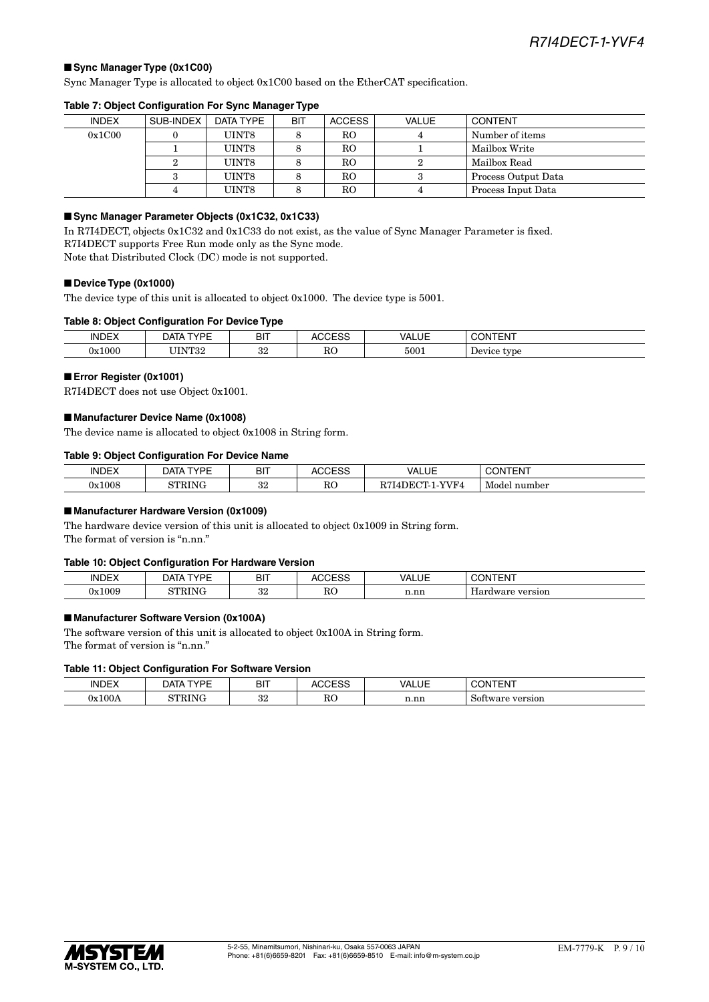### ■ Sync Manager Type (0x1C00)

Sync Manager Type is allocated to object 0x1C00 based on the EtherCAT specification.

| <b>INDEX</b> | SUB-INDEX | DATA TYPE | <b>BIT</b> | <b>ACCESS</b>  | VALUE | <b>CONTENT</b>      |
|--------------|-----------|-----------|------------|----------------|-------|---------------------|
| 0x1C00       |           | UINT8     |            | RO             |       | Number of items     |
|              |           | UINT8     |            | RO             |       | Mailbox Write       |
|              |           | UINT8     |            | R <sub>O</sub> |       | Mailbox Read        |
|              |           | UINT8     |            | RO             |       | Process Output Data |
|              |           | UINT8     |            | RO             | 4     | Process Input Data  |

#### **Table 7: Object Configuration For Sync Manager Type**

#### ■ Sync Manager Parameter Objects (0x1C32, 0x1C33)

In R7I4DECT, objects 0x1C32 and 0x1C33 do not exist, as the value of Sync Manager Parameter is fixed. R7I4DECT supports Free Run mode only as the Sync mode. Note that Distributed Clock (DC) mode is not supported.

#### ■ **Device Type (0x1000)**

The device type of this unit is allocated to object 0x1000. The device type is 5001.

#### **Table 8: Object Configuration For Device Type**

| <b>INDEX</b>   | $\sqrt{2}$<br><b>DATA</b><br>VUL | <b>DIT</b><br>ווס | $\sim$  | $\overline{\phantom{a}}$<br>JAI.<br>── | $\bigcap_{n=1}^{\infty}$<br>эN<br>⊢N⊦ |
|----------------|----------------------------------|-------------------|---------|----------------------------------------|---------------------------------------|
| :1000<br>7۳. . | <b>TITAIMOO</b><br>104           | $\Omega$<br>υz    | D<br>πU | 5001                                   | -<br>type<br>100                      |

#### ■ **Error Register (0x1001)**

R7I4DECT does not use Object 0x1001.

#### ■ **Manufacturer Device Name (0x1008)**

The device name is allocated to object 0x1008 in String form.

#### **Table 9: Object Configuration For Device Name**

| <b>INDEX</b> | TVDE<br><b>DATA</b> | <b>BIT</b> | 0.0000<br>- 00<br>∼ | VALUE<br>_______                  | TENT<br>١N      |
|--------------|---------------------|------------|---------------------|-----------------------------------|-----------------|
| 0x1008       | זחר                 | ດດ<br>υZι  | RC                  | VVF4<br>$\alpha$ m<br>חת<br>) H.A | Model<br>number |

#### ■ Manufacturer Hardware Version (0x1009)

The hardware device version of this unit is allocated to object 0x1009 in String form. The format of version is "n.nn."

#### **Table 10: Object Configuration For Hardware Version**

|                      | __               |                     |                                     |                                                                         |                     |
|----------------------|------------------|---------------------|-------------------------------------|-------------------------------------------------------------------------|---------------------|
| INDE)                | $\sqrt{2}$<br>10 | <b>DIT</b><br>וס    |                                     | VAI<br>JF                                                               | 17.77<br>- N I<br>ш |
| 1009ء<br>$-127$<br>. | חד               | ິດເ<br>ບ∠<br>$\sim$ | $\mathbf{D}$<br>πc<br>$\sim$ $\sim$ | $\overline{\phantom{a}}$<br>n.nr<br>the contract of the contract of the | versior             |

#### ■ Manufacturer Software Version (0x100A)

The software version of this unit is allocated to object 0x100A in String form. The format of version is "n.nn."

#### **Table 11: Object Configuration For Software Version**

| <b>INDEX</b>            | voc:<br><b>DATA</b> | <b>BIT</b>     | $\sim$<br>ULOU<br>n. | VALUE | <b>NTENT</b><br>ж                                     |
|-------------------------|---------------------|----------------|----------------------|-------|-------------------------------------------------------|
| 0x100A<br>$\sim$ $\sim$ | זחר                 | $\Omega$<br>υZ | <b>RO</b>            | n.nn  | -<br>version !<br>$\cdots$<br>50.<br><b>a</b> ic<br>. |